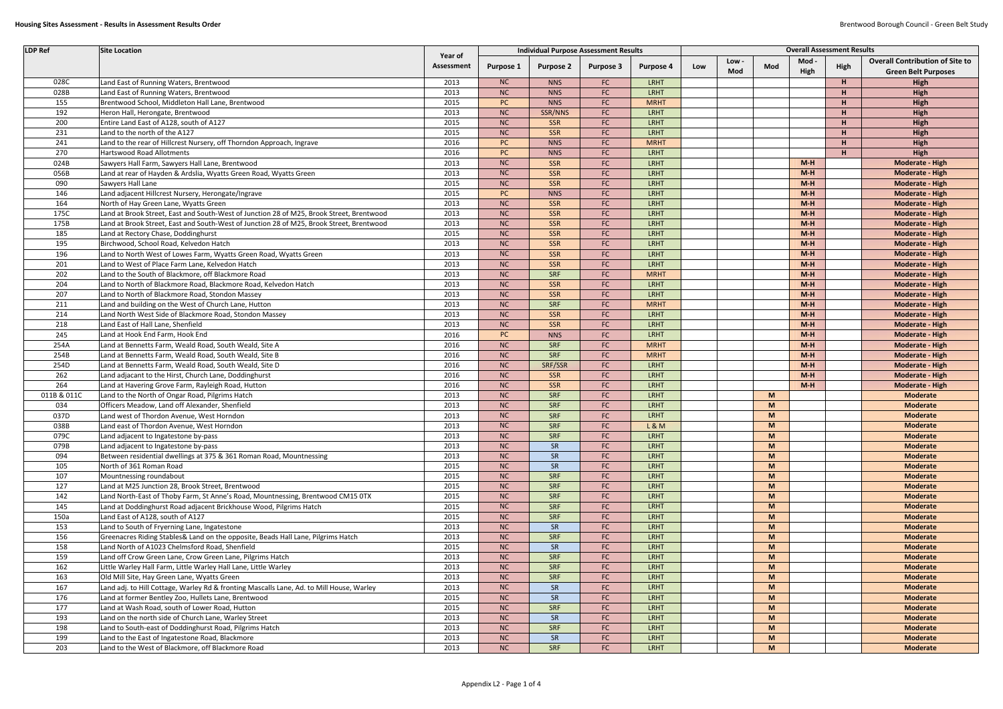| <b>LDP Ref</b> | <b>Site Location</b>                                                                     |                       | <b>Individual Purpose Assessment Results</b> |                  |                  |                  |     | <b>Overall Assessment Results</b> |        |               |              |                                                                      |
|----------------|------------------------------------------------------------------------------------------|-----------------------|----------------------------------------------|------------------|------------------|------------------|-----|-----------------------------------|--------|---------------|--------------|----------------------------------------------------------------------|
|                |                                                                                          | Year of<br>Assessment | Purpose 1                                    | <b>Purpose 2</b> | <b>Purpose 3</b> | <b>Purpose 4</b> | Low | Low-<br>Mod                       | Mod    | Mod ·<br>High | High         | <b>Overall Contribution of Site to</b><br><b>Green Belt Purposes</b> |
| 028C           | Land East of Running Waters, Brentwood                                                   | 2013                  | NC                                           | <b>NNS</b>       | FC               | LRHT             |     |                                   |        |               | Н            | High                                                                 |
| 028B           | Land East of Running Waters, Brentwood                                                   | 2013                  | NC                                           | <b>NNS</b>       | FC               | LRHT             |     |                                   |        |               | $\mathbf{H}$ | High                                                                 |
| 155            | Brentwood School, Middleton Hall Lane, Brentwood                                         | 2015                  | <b>PC</b>                                    | <b>NNS</b>       | FC               | <b>MRHT</b>      |     |                                   |        |               | Н            | High                                                                 |
| 192            | Heron Hall, Herongate, Brentwood                                                         | 2013                  | NC                                           | SSR/NNS          | FC               | LRHT             |     |                                   |        |               | Н            | High                                                                 |
| 200            | Entire Land East of A128, south of A127                                                  | 2015                  | NC                                           | <b>SSR</b>       | ${\sf FC}$       | LRHT             |     |                                   |        |               | Н            | High                                                                 |
| 231            | Land to the north of the A127                                                            | 2015                  | NC                                           | SSR              | FC               | LRHT             |     |                                   |        |               | Н            | High                                                                 |
| 241            | Land to the rear of Hillcrest Nursery, off Thorndon Approach, Ingrave                    | 2016                  | PC                                           | <b>NNS</b>       | FC               | <b>MRHT</b>      |     |                                   |        |               | Н            | High                                                                 |
| 270            | Hartswood Road Allotments                                                                | 2016                  | <b>PC</b>                                    | <b>NNS</b>       | FC               | LRHT             |     |                                   |        |               | $\mathbf{H}$ | High                                                                 |
| 024B           | Sawyers Hall Farm, Sawyers Hall Lane, Brentwood                                          | 2013                  | NC                                           | SSR              | FC               | LRHT             |     |                                   |        | $M-H$         |              | <b>Moderate - High</b>                                               |
| 056B           | Land at rear of Hayden & Ardslia, Wyatts Green Road, Wyatts Green                        | 2013                  | NC                                           | SSR              | FC               | LRHT             |     |                                   |        | $M-H$         |              | Moderate - High                                                      |
| 090            | Sawyers Hall Lane                                                                        | 2015                  | NC                                           | SSR              | FC               | LRHT             |     |                                   |        | $M-H$         |              | Moderate - High                                                      |
| 146            | Land adjacent Hillcrest Nursery, Herongate/Ingrave                                       | 2015                  | PC                                           | <b>NNS</b>       | FC               | LRHT             |     |                                   |        | $M-H$         |              | Moderate - High                                                      |
| 164            | North of Hay Green Lane, Wyatts Green                                                    | 2013                  | NC                                           | SSR              | FC               | LRHT             |     |                                   |        | $M-H$         |              | Moderate - High                                                      |
| 175C           | Land at Brook Street, East and South-West of Junction 28 of M25, Brook Street, Brentwood | 2013                  | NC                                           | SSR              | FC               | LRHT             |     |                                   |        | $M-H$         |              | Moderate - High                                                      |
| 175B           | Land at Brook Street, East and South-West of Junction 28 of M25, Brook Street, Brentwood | 2013                  | <b>NC</b>                                    | SSR              | FC               | LRHT             |     |                                   |        | $M-H$         |              | Moderate - High                                                      |
| 185            | Land at Rectory Chase, Doddinghurst                                                      | 2015                  | NC                                           | SSR              | FC               | LRHT             |     |                                   |        | $M-H$         |              | Moderate - High                                                      |
| 195            | Birchwood, School Road, Kelvedon Hatch                                                   | 2013                  | NC                                           | SSR              | FC               | LRHT             |     |                                   |        | $M-H$         |              | Moderate - High                                                      |
| 196            | Land to North West of Lowes Farm, Wyatts Green Road, Wyatts Green                        | 2013                  | <b>NC</b>                                    | SSR              | FC               | LRHT             |     |                                   |        | $M-H$         |              | Moderate - High                                                      |
| 201            | Land to West of Place Farm Lane, Kelvedon Hatch                                          | 2013                  | NC                                           | SSR              | ${\sf FC}$       | LRHT             |     |                                   |        | $M-H$         |              | Moderate - High                                                      |
| 202            | Land to the South of Blackmore, off Blackmore Road                                       | 2013                  | NC                                           | SRF              | FC               | <b>MRHT</b>      |     |                                   |        | $M-H$         |              | <b>Moderate - High</b>                                               |
| 204            | Land to North of Blackmore Road, Blackmore Road, Kelvedon Hatch                          | 2013                  | <b>NC</b>                                    | SSR              | FC               | LRHT             |     |                                   |        | $M-H$         |              | Moderate - High                                                      |
| 207            | Land to North of Blackmore Road, Stondon Massey                                          | 2013                  | NC                                           | SSR              | ${\sf FC}$       | LRHT             |     |                                   |        | $M-H$         |              | Moderate - High                                                      |
| 211            | Land and building on the West of Church Lane, Hutton                                     | 2013                  | NC                                           | SRF              | FC               | <b>MRHT</b>      |     |                                   |        | $M-H$         |              | <b>Moderate - High</b>                                               |
| 214            | Land North West Side of Blackmore Road, Stondon Massey                                   | 2013                  | <b>NC</b>                                    | SSR              | FC               | LRHT             |     |                                   |        | $M-H$         |              | Moderate - High                                                      |
| 218            | Land East of Hall Lane, Shenfield                                                        | 2013                  | NC                                           | SSR              | ${\sf FC}$       | LRHT             |     |                                   |        | $M-H$         |              | Moderate - High                                                      |
| 245            | Land at Hook End Farm, Hook End                                                          | 2016                  | PC                                           | <b>NNS</b>       | FC               | LRHT             |     |                                   |        | $M-H$         |              | <b>Moderate - High</b>                                               |
| 254A           | Land at Bennetts Farm, Weald Road, South Weald, Site A                                   | 2016                  | NC                                           | SRF              | FC               | <b>MRHT</b>      |     |                                   |        | $M-H$         |              | Moderate - High                                                      |
| 254B           | Land at Bennetts Farm, Weald Road, South Weald, Site B                                   | 2016                  | NC                                           | SRF              | FC               | <b>MRHT</b>      |     |                                   |        | $M-H$         |              | Moderate - High                                                      |
| 254D           | Land at Bennetts Farm, Weald Road, South Weald, Site D                                   | 2016                  | NC                                           | SRF/SSR          | FC               | LRHT             |     |                                   |        | $M-H$         |              | Moderate - High                                                      |
| 262            | Land adjacant to the Hirst, Church Lane, Doddinghurst                                    | 2016                  | NC                                           | SSR              | FC               | LRHT             |     |                                   |        | $M-H$         |              | Moderate - High                                                      |
| 264            | Land at Havering Grove Farm, Rayleigh Road, Hutton                                       | 2016                  | NC                                           | SSR              | FC               | LRHT             |     |                                   |        | $M-H$         |              | <b>Moderate - High</b>                                               |
| 011B & 011C    | Land to the North of Ongar Road, Pilgrims Hatch                                          | 2013                  | NC                                           | SRF              | FC               | LRHT             |     |                                   | M      |               |              | <b>Moderate</b>                                                      |
| 034            | Officers Meadow, Land off Alexander, Shenfield                                           | 2013                  | NC                                           | SRF              | FC               | LRHT             |     |                                   | M      |               |              | <b>Moderate</b>                                                      |
| 037D           | Land west of Thordon Avenue, West Horndon                                                | 2013                  | NC                                           | SRF              | FC               | LRHT             |     |                                   | M      |               |              | <b>Moderate</b><br><b>Moderate</b>                                   |
| 038B           | Land east of Thordon Avenue, West Horndon                                                | 2013                  | <b>NC</b>                                    | SRF<br>SRF       | FC               | L&M<br>LRHT      |     |                                   | M      |               |              |                                                                      |
| 079C           | Land adjacent to Ingatestone by-pass                                                     | 2013                  | NC                                           |                  | FC               | LRHT             |     |                                   | M      |               |              | <b>Moderate</b>                                                      |
| 079B           | Land adjacent to Ingatestone by-pass                                                     | 2013                  | NC                                           | SR               | FC               | LRHT             |     |                                   | M      |               |              | <b>Moderate</b>                                                      |
| 094            | Between residential dwellings at 375 & 361 Roman Road, Mountnessing                      | 2013                  | NC                                           | SR               | FC               | LRHT             |     |                                   | M      |               |              | <b>Moderate</b>                                                      |
| 105            | North of 361 Roman Road                                                                  | 2015                  | NC                                           | SR               | ${\sf FC}$       | LRHT             |     |                                   | M      |               |              | <b>Moderate</b>                                                      |
| 107<br>127     | Mountnessing roundabout<br>Land at M25 Junction 28, Brook Street, Brentwood              | 2015<br>2015          | NC<br>NC                                     | SRF<br>SRF       | FC<br>FC         | LRHT             |     |                                   | M<br>M |               |              | <b>Moderate</b><br><b>Moderate</b>                                   |
| 142            | Land North-East of Thoby Farm, St Anne's Road, Mountnessing, Brentwood CM15 0TX          | 2015                  | NC                                           | SRF              | FC               | LRHT             |     |                                   | M      |               |              | <b>Moderate</b>                                                      |
| 145            | Land at Doddinghurst Road adjacent Brickhouse Wood, Pilgrims Hatch                       | 2015                  | NC                                           | SRF              | FC               | LRHT             |     |                                   | M      |               |              | <b>Moderate</b>                                                      |
| 150a           | Land East of A128, south of A127                                                         | 2015                  | NC                                           | SRF              | ${\sf FC}$       | LRHT             |     |                                   | M      |               |              | <b>Moderate</b>                                                      |
| 153            | Land to South of Fryerning Lane, Ingatestone                                             | 2013                  | NC                                           | SR               | FC               | LRHT             |     |                                   | M      |               |              | <b>Moderate</b>                                                      |
| 156            | Greenacres Riding Stables& Land on the opposite, Beads Hall Lane, Pilgrims Hatch         | 2013                  | NC                                           | SRF              | FC               | LRHT             |     |                                   | M      |               |              | <b>Moderate</b>                                                      |
| 158            | Land North of A1023 Chelmsford Road, Shenfield                                           | 2015                  | NC                                           | SR               | ${\sf FC}$       | LRHT             |     |                                   | M      |               |              | <b>Moderate</b>                                                      |
| 159            | Land off Crow Green Lane, Crow Green Lane, Pilgrims Hatch                                | 2013                  | NC                                           | SRF              | FC               | LRHT             |     |                                   | M      |               |              | <b>Moderate</b>                                                      |
| 162            | Little Warley Hall Farm, Little Warley Hall Lane, Little Warley                          | 2013                  | NC                                           | SRF              | FC               | LRHT             |     |                                   | M      |               |              | <b>Moderate</b>                                                      |
| 163            | Old Mill Site, Hay Green Lane, Wyatts Green                                              | 2013                  | NC                                           | SRF              | ${\sf FC}$       | LRHT             |     |                                   | M      |               |              | <b>Moderate</b>                                                      |
| 167            | Land adj. to Hill Cottage, Warley Rd & fronting Mascalls Lane, Ad. to Mill House, Warley | 2013                  | NC                                           | SR               | FC               | LRHT             |     |                                   | M      |               |              | <b>Moderate</b>                                                      |
| 176            | Land at former Bentley Zoo, Hullets Lane, Brentwood                                      | 2015                  | NC                                           | SR               | FC               | LRHT             |     |                                   | M      |               |              | <b>Moderate</b>                                                      |
| 177            | Land at Wash Road, south of Lower Road, Hutton                                           | 2015                  | NC                                           | SRF              | ${\sf FC}$       | LRHT             |     |                                   | M      |               |              | <b>Moderate</b>                                                      |
| 193            | Land on the north side of Church Lane, Warley Street                                     | 2013                  | NC                                           | SR               | FC               | LRHT             |     |                                   | M      |               |              | <b>Moderate</b>                                                      |
| 198            | Land to South-east of Doddinghurst Road, Pilgrims Hatch                                  | 2013                  | NC                                           | SRF              | FC               | LRHT             |     |                                   | M      |               |              | <b>Moderate</b>                                                      |
| 199            | Land to the East of Ingatestone Road, Blackmore                                          | 2013                  | NC                                           | SR               | ${\sf FC}$       | LRHT             |     |                                   | M      |               |              | <b>Moderate</b>                                                      |
| 203            | Land to the West of Blackmore, off Blackmore Road                                        | 2013                  | NC                                           | SRF              | FC               | LRHT             |     |                                   | M      |               |              | <b>Moderate</b>                                                      |
|                |                                                                                          |                       |                                              |                  |                  |                  |     |                                   |        |               |              |                                                                      |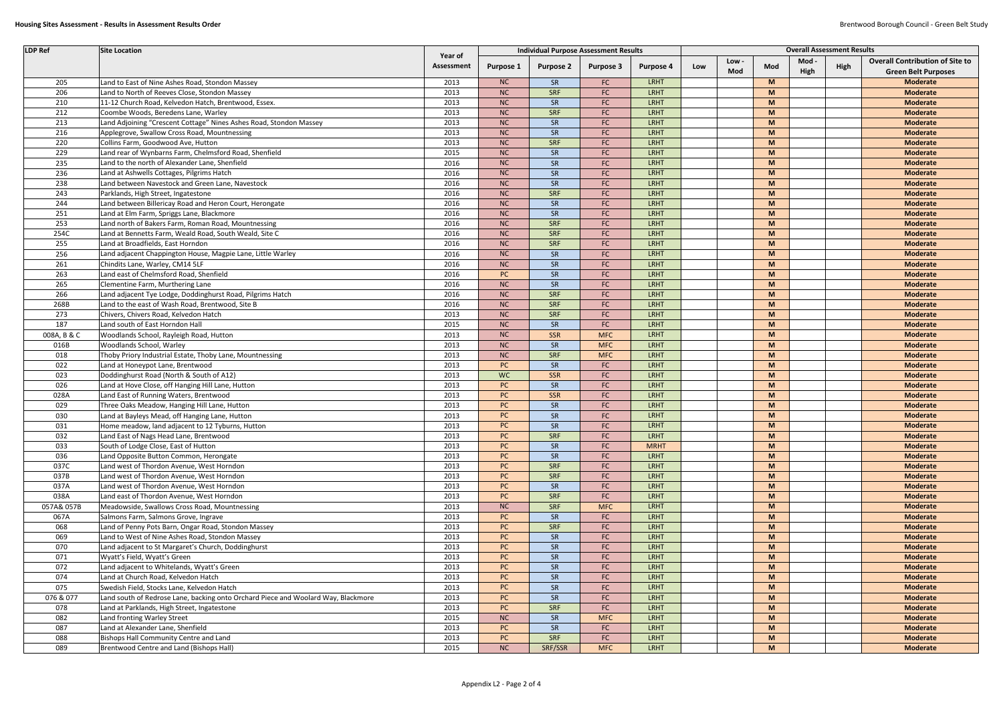| <b>LDP Ref</b> | <b>Site Location</b>                                                              |                       |           |                  | <b>Individual Purpose Assessment Results</b> |                  | <b>Overall Assessment Results</b> |       |          |       |      |                                        |
|----------------|-----------------------------------------------------------------------------------|-----------------------|-----------|------------------|----------------------------------------------|------------------|-----------------------------------|-------|----------|-------|------|----------------------------------------|
|                |                                                                                   | Year of<br>Assessment | Purpose 1 | <b>Purpose 2</b> | <b>Purpose 3</b>                             | <b>Purpose 4</b> | Low                               | Low - | Mod      | Mod - | High | <b>Overall Contribution of Site to</b> |
|                |                                                                                   |                       |           |                  |                                              |                  |                                   | Mod   |          | High  |      | <b>Green Belt Purposes</b>             |
| 205            | Land to East of Nine Ashes Road, Stondon Massey                                   | 2013                  | <b>NC</b> | SR               | ${\sf FC}$                                   | <b>LRHT</b>      |                                   |       | M        |       |      | <b>Moderate</b>                        |
| 206            | Land to North of Reeves Close, Stondon Massey                                     | 2013                  | NC        | <b>SRF</b>       | FC                                           | LRHT             |                                   |       | M        |       |      | <b>Moderate</b>                        |
| 210            | 11-12 Church Road, Kelvedon Hatch, Brentwood, Essex.                              | 2013                  | <b>NC</b> | SR               | FC                                           | LRHT             |                                   |       | <b>M</b> |       |      | <b>Moderate</b>                        |
| 212            | Coombe Woods, Beredens Lane, Warley                                               | 2013                  | NC        | <b>SRF</b>       | ${\sf FC}$                                   | LRHT             |                                   |       | M        |       |      | <b>Moderate</b>                        |
| 213            | Land Adjoining "Crescent Cottage" Nines Ashes Road, Stondon Massey                | 2013                  | <b>NC</b> | SR               | FC                                           | <b>LRHT</b>      |                                   |       | M        |       |      | <b>Moderate</b>                        |
| 216            | Applegrove, Swallow Cross Road, Mountnessing                                      | 2013                  | NC        | SR               | FC                                           | LRHT             |                                   |       | <b>M</b> |       |      | <b>Moderate</b>                        |
| 220            | Collins Farm, Goodwood Ave, Hutton                                                | 2013                  | NC        | <b>SRF</b>       | ${\sf FC}$                                   | LRHT             |                                   |       | M        |       |      | <b>Moderate</b>                        |
| 229            | Land rear of Wynbarns Farm, Chelmsford Road, Shenfield                            | 2015                  | <b>NC</b> | SR               | FC                                           | LRHT             |                                   |       | M        |       |      | <b>Moderate</b>                        |
| 235            | Land to the north of Alexander Lane, Shenfield                                    | 2016                  | NC        | SR               | FC                                           | LRHT             |                                   |       | <b>M</b> |       |      | <b>Moderate</b>                        |
| 236            | Land at Ashwells Cottages, Pilgrims Hatch                                         | 2016                  | NC        | SR               | ${\sf FC}$                                   | LRHT             |                                   |       | M        |       |      | <b>Moderate</b>                        |
| 238            | Land between Navestock and Green Lane, Navestock                                  | 2016                  | <b>NC</b> | SR               | FC                                           | LRHT             |                                   |       | M        |       |      | <b>Moderate</b>                        |
| 243            | Parklands, High Street, Ingatestone                                               | 2016                  | NC        | <b>SRF</b>       | ${\sf FC}$                                   | LRHT             |                                   |       | <b>M</b> |       |      | <b>Moderate</b>                        |
| 244            | Land between Billericay Road and Heron Court, Herongate                           | 2016                  | <b>NC</b> | SR               | FC                                           | LRHT             |                                   |       | <b>M</b> |       |      | <b>Moderate</b>                        |
| 251            | Land at Elm Farm, Spriggs Lane, Blackmore                                         | 2016                  | <b>NC</b> | SR               | FC                                           | LRHT             |                                   |       | <b>M</b> |       |      | <b>Moderate</b>                        |
| 253            | Land north of Bakers Farm, Roman Road, Mountnessing                               | 2016                  | <b>NC</b> | SRF              | ${\sf FC}$                                   | LRHT             |                                   |       | <b>M</b> |       |      | <b>Moderate</b>                        |
| 254C           | Land at Bennetts Farm, Weald Road, South Weald, Site C                            | 2016                  | NC        | SRF              | FC                                           | LRHT             |                                   |       | <b>M</b> |       |      | Moderate                               |
| 255            | Land at Broadfields, East Horndon                                                 | 2016                  | <b>NC</b> | SRF              | FC                                           | LRHT             |                                   |       | <b>M</b> |       |      | <b>Moderate</b>                        |
| 256            | Land adjacent Chappington House, Magpie Lane, Little Warley                       | 2016                  | <b>NC</b> | SR               | ${\sf FC}$                                   | LRHT             |                                   |       | <b>M</b> |       |      | <b>Moderate</b>                        |
| 261            | Chindits Lane, Warley, CM14 5LF                                                   | 2016                  | <b>NC</b> | SR               | FC                                           | LRHT             |                                   |       | <b>M</b> |       |      | Moderate                               |
| 263            | Land east of Chelmsford Road, Shenfield                                           | 2016                  | PC        | SR               | FC                                           | LRHT             |                                   |       | <b>M</b> |       |      | <b>Moderate</b>                        |
| 265            | Clementine Farm, Murthering Lane                                                  | 2016                  | <b>NC</b> | SR               | ${\sf FC}$                                   | LRHT             |                                   |       | <b>M</b> |       |      | <b>Moderate</b>                        |
| 266            | Land adjacent Tye Lodge, Doddinghurst Road, Pilgrims Hatch                        | 2016                  | NC        | SRF              | FC                                           | LRHT             |                                   |       | <b>M</b> |       |      | Moderate                               |
| 268B           | Land to the east of Wash Road, Brentwood, Site B                                  | 2016                  | NC        | SRF              | FC                                           | LRHT             |                                   |       | <b>M</b> |       |      | <b>Moderate</b>                        |
| 273            | Chivers, Chivers Road, Kelvedon Hatch                                             | 2013                  | NC        | SRF              | ${\sf FC}$                                   | LRHT             |                                   |       | <b>M</b> |       |      | <b>Moderate</b>                        |
| 187            | Land south of East Horndon Hall                                                   | 2015                  | NC        | SR               | FC                                           | LRHT             |                                   |       | <b>M</b> |       |      | Moderate                               |
| 008A, B & C    | Woodlands School, Rayleigh Road, Hutton                                           | 2013                  | NC        | <b>SSR</b>       | <b>MFC</b>                                   | LRHT             |                                   |       | <b>M</b> |       |      | <b>Moderate</b>                        |
| 016B           | Woodlands School, Warley                                                          | 2013                  | NC        | SR               | <b>MFC</b>                                   | LRHT             |                                   |       | <b>M</b> |       |      | <b>Moderate</b>                        |
| 018            | Thoby Priory Industrial Estate, Thoby Lane, Mountnessing                          | 2013                  | NC        | SRF              | <b>MFC</b>                                   | LRHT             |                                   |       | <b>M</b> |       |      | <b>Moderate</b>                        |
| 022            | Land at Honeypot Lane, Brentwood                                                  | 2013                  | PC        | SR               | FC                                           | LRHT             |                                   |       | <b>M</b> |       |      | <b>Moderate</b>                        |
| 023            | Doddinghurst Road (North & South of A12)                                          | 2013                  | <b>WC</b> | <b>SSR</b>       | ${\sf FC}$                                   | LRHT             |                                   |       | <b>M</b> |       |      | <b>Moderate</b>                        |
| 026            | Land at Hove Close, off Hanging Hill Lane, Hutton                                 | 2013                  | PC        | SR               | FC                                           | LRHT             |                                   |       | <b>M</b> |       |      | <b>Moderate</b>                        |
| 028A           | Land East of Running Waters, Brentwood                                            | 2013                  | PC        | <b>SSR</b>       | FC                                           | LRHT             |                                   |       | <b>M</b> |       |      | <b>Moderate</b>                        |
| 029            | Three Oaks Meadow, Hanging Hill Lane, Hutton                                      | 2013                  | <b>PC</b> | SR               | FC                                           | <b>LRHT</b>      |                                   |       | M        |       |      | <b>Moderate</b>                        |
| 030            | Land at Bayleys Mead, off Hanging Lane, Hutton                                    | 2013                  | <b>PC</b> | SR               | FC                                           | <b>LRHT</b>      |                                   |       | <b>M</b> |       |      | <b>Moderate</b>                        |
| 031            | Home meadow, land adjacent to 12 Tyburns, Hutton                                  | 2013                  | PC        | <b>SR</b>        | FC                                           | <b>LRHT</b>      |                                   |       | M        |       |      | <b>Moderate</b>                        |
| 032            | Land East of Nags Head Lane, Brentwood                                            | 2013                  | <b>PC</b> | SRF              | FC                                           | <b>LRHT</b>      |                                   |       | M        |       |      | <b>Moderate</b>                        |
| 033            | South of Lodge Close, East of Hutton                                              | 2013                  | PC        | SR               | FC                                           | <b>MRHT</b>      |                                   |       | M        |       |      | <b>Moderate</b>                        |
| 036            | Land Opposite Button Common, Herongate                                            | 2013                  | PC        | SR               | FC                                           | <b>LRHT</b>      |                                   |       | M        |       |      | <b>Moderate</b>                        |
| 037C           | Land west of Thordon Avenue, West Horndon                                         | 2013                  | PC        | SRF              | FC                                           | <b>LRHT</b>      |                                   |       | M        |       |      | Moderate                               |
| 037B           | Land west of Thordon Avenue, West Horndon                                         | 2013                  | PC        | SRF              | FC                                           | <b>LRHT</b>      |                                   |       | M        |       |      | <b>Moderate</b>                        |
| 037A           | Land west of Thordon Avenue, West Horndon                                         | 2013                  | PC        | SR               | FC                                           | <b>LRHT</b>      |                                   |       | M        |       |      | <b>Moderate</b>                        |
| 038A           | Land east of Thordon Avenue, West Horndon                                         | 2013                  | PC        | SRF              | FC                                           | <b>LRHT</b>      |                                   |       | M        |       |      | Moderate                               |
| 057A& 057B     | Meadowside, Swallows Cross Road, Mountnessing                                     | 2013                  | NC        | SRF              | <b>MFC</b>                                   | <b>LRHT</b>      |                                   |       | M        |       |      | <b>Moderate</b>                        |
| 067A           | Salmons Farm, Salmons Grove, Ingrave                                              | 2013                  | PC        | SR               | FC                                           | <b>LRHT</b>      |                                   |       | M        |       |      | <b>Moderate</b>                        |
| 068            | Land of Penny Pots Barn, Ongar Road, Stondon Massey                               | 2013                  | PC        | SRF              | FC                                           | <b>LRHT</b>      |                                   |       | M        |       |      | Moderate                               |
| 069            | Land to West of Nine Ashes Road, Stondon Massey                                   | 2013                  | <b>PC</b> | SR               | FC                                           | <b>LRHT</b>      |                                   |       | M        |       |      | <b>Moderate</b>                        |
| 070            | Land adjacent to St Margaret's Church, Doddinghurst                               | 2013                  | PC        | SR               | FC                                           | <b>LRHT</b>      |                                   |       | M        |       |      | <b>Moderate</b>                        |
| 071            | Wyatt's Field, Wyatt's Green                                                      | 2013                  | PC        | SR               | FC                                           | <b>LRHT</b>      |                                   |       | M        |       |      | Moderate                               |
| 072            | Land adjacent to Whitelands, Wyatt's Green                                        | 2013                  | <b>PC</b> | SR               | FC                                           | <b>LRHT</b>      |                                   |       | M        |       |      | <b>Moderate</b>                        |
| 074            | Land at Church Road, Kelvedon Hatch                                               | 2013                  | PC        | SR               | FC                                           | <b>LRHT</b>      |                                   |       | M        |       |      | <b>Moderate</b>                        |
|                |                                                                                   |                       | PC        |                  |                                              | <b>LRHT</b>      |                                   |       | M        |       |      | <b>Moderate</b>                        |
| 075            | Swedish Field, Stocks Lane, Kelvedon Hatch                                        | 2013                  |           | SR               | FC                                           |                  |                                   |       |          |       |      |                                        |
| 076 & 077      | Land south of Redrose Lane, backing onto Orchard Piece and Woolard Way, Blackmore | 2013                  | <b>PC</b> | SR               | FC                                           | <b>LRHT</b>      |                                   |       | M        |       |      | <b>Moderate</b>                        |
| 078            | Land at Parklands, High Street, Ingatestone                                       | 2013                  | PC        | SRF              | FC                                           | <b>LRHT</b>      |                                   |       | M        |       |      | Moderate                               |
| 082            | Land fronting Warley Street                                                       | 2015                  | NC        | SR               | <b>MFC</b>                                   | <b>LRHT</b>      |                                   |       | M        |       |      | <b>Moderate</b>                        |
| 087            | Land at Alexander Lane, Shenfield                                                 | 2013                  | PC        | SR               | FC                                           | <b>LRHT</b>      |                                   |       | M        |       |      | <b>Moderate</b>                        |
| 088            | Bishops Hall Community Centre and Land                                            | 2013                  | PC        | SRF              | FC                                           | LRHT             |                                   |       | M        |       |      | <b>Moderate</b>                        |
| 089            | Brentwood Centre and Land (Bishops Hall)                                          | 2015                  | NC        | SRF/SSR          | <b>MFC</b>                                   | LRHT             |                                   |       | M        |       |      | Moderate                               |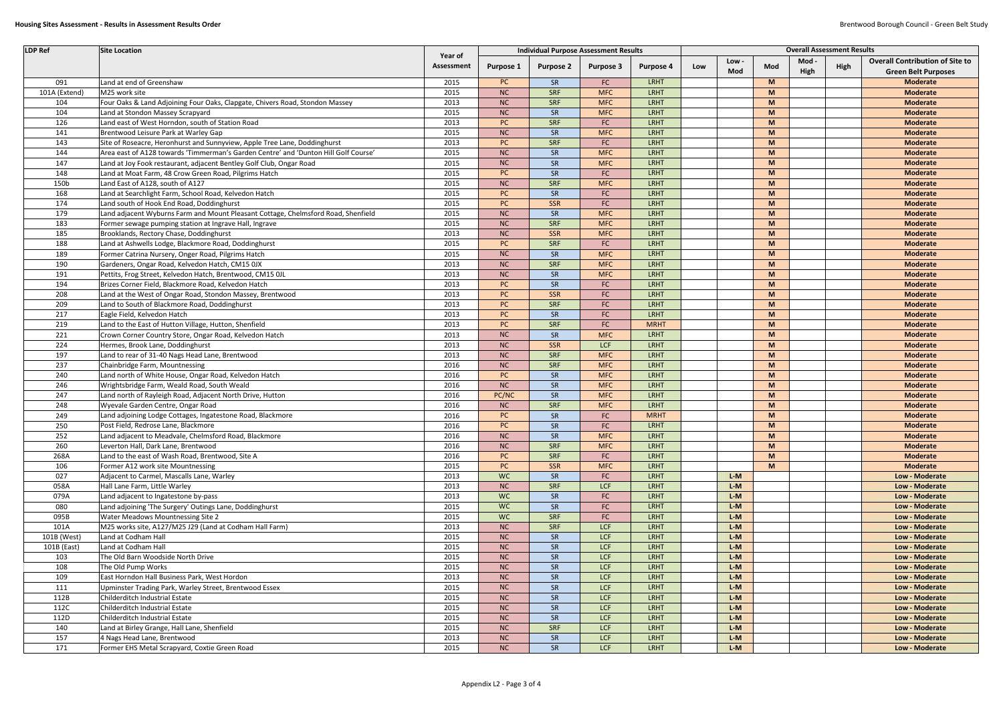| <b>LDP Ref</b> | <b>Site Location</b>                                                                |            |           |                  | <b>Individual Purpose Assessment Results</b> |                  | <b>Overall Assessment Results</b> |       |     |      |      |                                        |
|----------------|-------------------------------------------------------------------------------------|------------|-----------|------------------|----------------------------------------------|------------------|-----------------------------------|-------|-----|------|------|----------------------------------------|
|                |                                                                                     | Year of    |           |                  |                                              |                  |                                   | Low - |     | Mod  |      | <b>Overall Contribution of Site to</b> |
|                |                                                                                     | Assessment | Purpose 1 | <b>Purpose 2</b> | <b>Purpose 3</b>                             | <b>Purpose 4</b> | Low                               | Mod   | Mod | High | High | <b>Green Belt Purposes</b>             |
| 091            | Land at end of Greenshaw                                                            | 2015       | <b>PC</b> | SR               | FC                                           | <b>LRHT</b>      |                                   |       | M   |      |      | <b>Moderate</b>                        |
| 101A (Extend)  | M25 work site                                                                       | 2015       | NC        | <b>SRF</b>       | <b>MFC</b>                                   | LRHT             |                                   |       | M   |      |      | <b>Moderate</b>                        |
| 104            | Four Oaks & Land Adjoining Four Oaks, Clapgate, Chivers Road, Stondon Massey        | 2013       | NC        | <b>SRF</b>       | <b>MFC</b>                                   | <b>LRHT</b>      |                                   |       | M   |      |      | <b>Moderate</b>                        |
| 104            | Land at Stondon Massey Scrapyard                                                    | 2015       | NC        | SR               | <b>MFC</b>                                   | <b>LRHT</b>      |                                   |       | M   |      |      | <b>Moderate</b>                        |
| 126            | Land east of West Horndon, south of Station Road                                    | 2013       | <b>PC</b> | <b>SRF</b>       | ${\sf FC}$                                   | LRHT             |                                   |       | M   |      |      | <b>Moderate</b>                        |
| 141            | Brentwood Leisure Park at Warley Gap                                                | 2015       | NC        | SR               | <b>MFC</b>                                   | <b>LRHT</b>      |                                   |       | M   |      |      | <b>Moderate</b>                        |
| 143            | Site of Roseacre, Heronhurst and Sunnyview, Apple Tree Lane, Doddinghurst           | 2013       | <b>PC</b> | <b>SRF</b>       | FC                                           | <b>LRHT</b>      |                                   |       | M   |      |      | <b>Moderate</b>                        |
| 144            | Area east of A128 towards 'Timmerman's Garden Centre' and 'Dunton Hill Golf Course' | 2015       |           | SR               | <b>MFC</b>                                   | LRHT             |                                   |       | M   |      |      | <b>Moderate</b>                        |
|                |                                                                                     |            | NC        |                  |                                              |                  |                                   |       | M   |      |      |                                        |
| 147            | Land at Joy Fook restaurant, adjacent Bentley Golf Club, Ongar Road                 | 2015       | NC        | SR               | <b>MFC</b>                                   | <b>LRHT</b>      |                                   |       |     |      |      | <b>Moderate</b>                        |
| 148            | Land at Moat Farm, 48 Crow Green Road, Pilgrims Hatch                               | 2015       | <b>PC</b> | SR               | FC                                           | LRHT             |                                   |       | M   |      |      | <b>Moderate</b>                        |
| 150b           | Land East of A128, south of A127                                                    | 2015       | NC        | <b>SRF</b>       | <b>MFC</b>                                   | LRHT             |                                   |       | M   |      |      | <b>Moderate</b>                        |
| 168            | Land at Searchlight Farm, School Road, Kelvedon Hatch                               | 2015       | <b>PC</b> | SR               | ${\sf FC}$                                   | <b>LRHT</b>      |                                   |       | M   |      |      | <b>Moderate</b>                        |
| 174            | Land south of Hook End Road, Doddinghurst                                           | 2015       | <b>PC</b> | <b>SSR</b>       | ${\sf FC}$                                   | LRHT             |                                   |       | M   |      |      | <b>Moderate</b>                        |
| 179            | Land adjacent Wyburns Farm and Mount Pleasant Cottage, Chelmsford Road, Shenfield   | 2015       | NC        | SR               | <b>MFC</b>                                   | <b>LRHT</b>      |                                   |       | M   |      |      | <b>Moderate</b>                        |
| 183            | Former sewage pumping station at Ingrave Hall, Ingrave                              | 2015       | NC        | <b>SRF</b>       | <b>MFC</b>                                   | LRHT             |                                   |       | M   |      |      | <b>Moderate</b>                        |
| 185            | Brooklands, Rectory Chase, Doddinghurst                                             | 2013       | NC        | SSR              | <b>MFC</b>                                   | <b>LRHT</b>      |                                   |       | M   |      |      | <b>Moderate</b>                        |
| 188            | Land at Ashwells Lodge, Blackmore Road, Doddinghurst                                | 2015       | <b>PC</b> | <b>SRF</b>       | FC                                           | <b>LRHT</b>      |                                   |       | M   |      |      | <b>Moderate</b>                        |
| 189            | Former Catrina Nursery, Onger Road, Pilgrims Hatch                                  | 2015       | NC        | SR               | <b>MFC</b>                                   | LRHT             |                                   |       | M   |      |      | <b>Moderate</b>                        |
| 190            | Gardeners, Ongar Road, Kelvedon Hatch, CM15 0JX                                     | 2013       | NC        | <b>SRF</b>       | <b>MFC</b>                                   | LRHT             |                                   |       | M   |      |      | <b>Moderate</b>                        |
| 191            | Pettits, Frog Street, Kelvedon Hatch, Brentwood, CM15 OJL                           | 2013       | NC        | SR               | <b>MFC</b>                                   | <b>LRHT</b>      |                                   |       | M   |      |      | <b>Moderate</b>                        |
| 194            | Brizes Corner Field, Blackmore Road, Kelvedon Hatch                                 | 2013       | <b>PC</b> | SR               | ${\sf FC}$                                   | <b>LRHT</b>      |                                   |       | M   |      |      | <b>Moderate</b>                        |
| 208            | Land at the West of Ongar Road, Stondon Massey, Brentwood                           | 2013       | <b>PC</b> | SSR              | FC                                           | <b>LRHT</b>      |                                   |       | M   |      |      | <b>Moderate</b>                        |
| 209            | Land to South of Blackmore Road, Doddinghurst                                       | 2013       | <b>PC</b> | <b>SRF</b>       | ${\sf FC}$                                   | LRHT             |                                   |       | M   |      |      | <b>Moderate</b>                        |
| 217            | Eagle Field, Kelvedon Hatch                                                         | 2013       | <b>PC</b> | SR               | ${\sf FC}$                                   | LRHT             |                                   |       | M   |      |      | <b>Moderate</b>                        |
| 219            | Land to the East of Hutton Village, Hutton, Shenfield                               | 2013       | <b>PC</b> | <b>SRF</b>       | FC                                           | <b>MRHT</b>      |                                   |       | M   |      |      | <b>Moderate</b>                        |
| 221            | Crown Corner Country Store, Ongar Road, Kelvedon Hatch                              | 2013       | <b>NC</b> | SR               | <b>MFC</b>                                   | LRHT             |                                   |       | M   |      |      | <b>Moderate</b>                        |
| 224            | Hermes, Brook Lane, Doddinghurst                                                    | 2013       | NC        | SSR              | LCF                                          | LRHT             |                                   |       | M   |      |      | <b>Moderate</b>                        |
| 197            | Land to rear of 31-40 Nags Head Lane, Brentwood                                     | 2013       | NC        | <b>SRF</b>       | <b>MFC</b>                                   | LRHT             |                                   |       | M   |      |      | <b>Moderate</b>                        |
| 237            | Chainbridge Farm, Mountnessing                                                      | 2016       | NC        | <b>SRF</b>       | <b>MFC</b>                                   | LRHT             |                                   |       | M   |      |      | <b>Moderate</b>                        |
| 240            | Land north of White House, Ongar Road, Kelvedon Hatch                               | 2016       | <b>PC</b> | SR               | <b>MFC</b>                                   | LRHT             |                                   |       | M   |      |      | <b>Moderate</b>                        |
| 246            | Wrightsbridge Farm, Weald Road, South Weald                                         | 2016       | NC        | SR               | <b>MFC</b>                                   | LRHT             |                                   |       | M   |      |      | <b>Moderate</b>                        |
| 247            | Land north of Rayleigh Road, Adjacent North Drive, Hutton                           | 2016       | PC/NC     | SR               | <b>MFC</b>                                   | LRHT             |                                   |       | M   |      |      | <b>Moderate</b>                        |
| 248            | Wyevale Garden Centre, Ongar Road                                                   | 2016       | NC        | <b>SRF</b>       | <b>MFC</b>                                   | LRHT             |                                   |       | M   |      |      | <b>Moderate</b>                        |
| 249            | Land adjoining Lodge Cottages, Ingatestone Road, Blackmore                          | 2016       | <b>PC</b> | SR               | FC                                           | <b>MRHT</b>      |                                   |       | M   |      |      | <b>Moderate</b>                        |
| 250            | Post Field, Redrose Lane, Blackmore                                                 | 2016       | PC        | SR               | FC                                           | <b>LRHT</b>      |                                   |       | M   |      |      | <b>Moderate</b>                        |
| 252            | Land adjacent to Meadvale, Chelmsford Road, Blackmore                               | 2016       | NC        | SR               | <b>MFC</b>                                   | <b>LRHT</b>      |                                   |       | M   |      |      | <b>Moderate</b>                        |
| 260            | Leverton Hall, Dark Lane, Brentwood                                                 | 2016       | NC        | <b>SRF</b>       | <b>MFC</b>                                   | LRHT             |                                   |       | M   |      |      | <b>Moderate</b>                        |
| 268A           | Land to the east of Wash Road, Brentwood, Site A                                    | 2016       | PC        | <b>SRF</b>       | FC                                           | LRHT             |                                   |       | M   |      |      | <b>Moderate</b>                        |
| 106            | Former A12 work site Mountnessing                                                   | 2015       | PC        | <b>SSR</b>       | <b>MFC</b>                                   | LRHT             |                                   |       | M   |      |      | Moderate                               |
| 027            | Adjacent to Carmel, Mascalls Lane, Warley                                           | 2013       | <b>WC</b> | SR               | ${\sf FC}$                                   | <b>LRHT</b>      |                                   | $L-M$ |     |      |      | Low - Moderate                         |
| 058A           | Hall Lane Farm, Little Warley                                                       | 2013       | NC        | <b>SRF</b>       | LCF                                          | LRHT             |                                   | $L-M$ |     |      |      | Low - Moderate                         |
| 079A           | Land adjacent to Ingatestone by-pass                                                | 2013       | <b>WC</b> | SR               | ${\sf FC}$                                   | LRHT             |                                   | $L-M$ |     |      |      | Low - Moderate                         |
| 080            | Land adjoining 'The Surgery' Outings Lane, Doddinghurst                             | 2015       | <b>WC</b> | SR               | ${\sf FC}$                                   | LRHT             |                                   | $L-M$ |     |      |      | Low - Moderate                         |
| 095B           | <b>Water Meadows Mountnessing Site 2</b>                                            | 2015       | <b>WC</b> | <b>SRF</b>       | FC                                           | LRHT             |                                   | $L-M$ |     |      |      | Low - Moderate                         |
| 101A           | M25 works site, A127/M25 J29 (Land at Codham Hall Farm)                             | 2013       | NC        | <b>SRF</b>       | LCF                                          | <b>LRHT</b>      |                                   | $L-M$ |     |      |      | Low - Moderate                         |
| 101B (West)    | Land at Codham Hall                                                                 | 2015       | NC        | SR               | LCF                                          | LRHT             |                                   | $L-M$ |     |      |      | Low - Moderate                         |
| 101B (East)    | Land at Codham Hall                                                                 | 2015       | NC        | SR               | LCF                                          | LRHT             |                                   | $L-M$ |     |      |      | Low - Moderate                         |
| 103            | The Old Barn Woodside North Drive                                                   | 2015       | NC        | SR               | LCF                                          | LRHT             |                                   | $L-M$ |     |      |      | Low - Moderate                         |
| 108            | The Old Pump Works                                                                  | 2015       | NC        | SR               | LCF                                          | LRHT             |                                   | $L-M$ |     |      |      | Low - Moderate                         |
| 109            | East Horndon Hall Business Park, West Hordon                                        | 2013       | NC        | SR               | LCF                                          | LRHT             |                                   | $L-M$ |     |      |      | Low - Moderate                         |
|                |                                                                                     |            |           | SR               | LCF                                          | LRHT             |                                   | $L-M$ |     |      |      | Low - Moderate                         |
| 111            | Upminster Trading Park, Warley Street, Brentwood Essex                              | 2015       | NC        |                  |                                              |                  |                                   |       |     |      |      |                                        |
| 112B           | Childerditch Industrial Estate                                                      | 2015       | NC        | SR               | LCF                                          | LRHT             |                                   | $L-M$ |     |      |      | Low - Moderate                         |
| 112C           | Childerditch Industrial Estate                                                      | 2015       | NC        | SR               | LCF                                          | LRHT             |                                   | $L-M$ |     |      |      | Low - Moderate                         |
| 112D           | Childerditch Industrial Estate                                                      | 2015       | NC        | SR               | LCF                                          | LRHT             |                                   | $L-M$ |     |      |      | Low - Moderate                         |
| 140            | Land at Birley Grange, Hall Lane, Shenfield                                         | 2015       | NC        | <b>SRF</b>       | LCF                                          | LRHT             |                                   | $L-M$ |     |      |      | Low - Moderate                         |
| 157            | 4 Nags Head Lane, Brentwood                                                         | 2013       | NC        | SR               | LCF                                          | LRHT             |                                   | $L-M$ |     |      |      | Low - Moderate                         |
| 171            | Former EHS Metal Scrapyard, Coxtie Green Road                                       | 2015       | NC        | SR               | LCF                                          | LRHT             |                                   | $L-M$ |     |      |      | Low - Moderate                         |